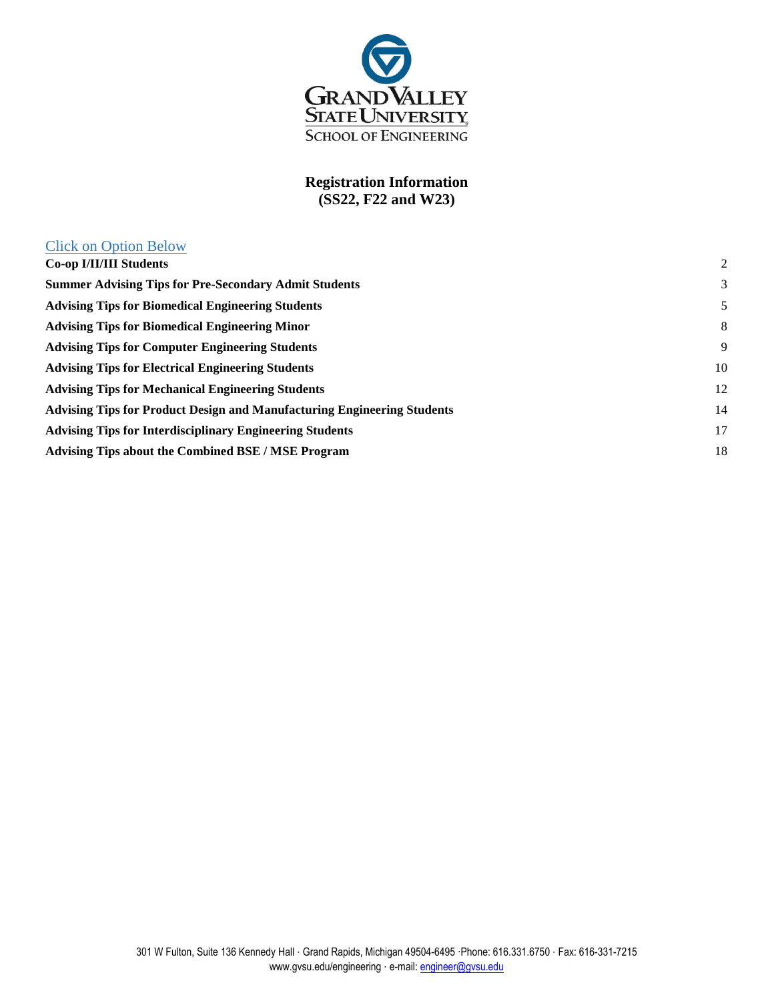

## **Registration Information (SS22, F22 and W23)**

Click on Option Below

| $\overline{2}$ |
|----------------|
| 3              |
| 5              |
| 8              |
| 9              |
| 10             |
| 12             |
| 14             |
| 17             |
| 18             |
|                |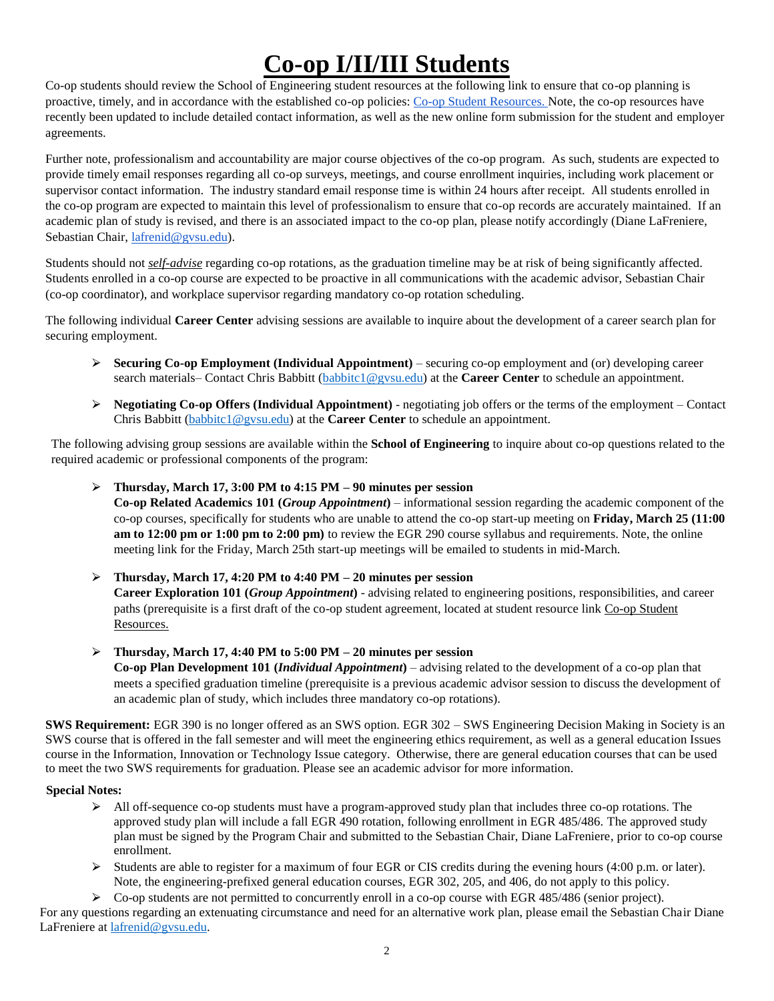# **Co-op I/II/III Students**

<span id="page-1-0"></span>Co-op students should review the School of Engineering student resources at the following link to ensure that co-op planning is proactive, timely, and in accordance with the established co-op policies: [Co-op Student Resources.](http://www.gvsu.edu/engineering/co-op-student-resources-39.htm) Note, the co-op resources have recently been updated to include detailed contact information, as well as the new online form submission for the student and employer agreements.

Further note, professionalism and accountability are major course objectives of the co-op program. As such, students are expected to provide timely email responses regarding all co-op surveys, meetings, and course enrollment inquiries, including work placement or supervisor contact information. The industry standard email response time is within 24 hours after receipt. All students enrolled in the co-op program are expected to maintain this level of professionalism to ensure that co-op records are accurately maintained. If an academic plan of study is revised, and there is an associated impact to the co-op plan, please notify accordingly (Diane LaFreniere, Sebastian Chair, [lafrenid@gvsu.edu\)](mailto:lafrenid@gvsu.edu).

Students should not *self-advise* regarding co-op rotations, as the graduation timeline may be at risk of being significantly affected. Students enrolled in a co-op course are expected to be proactive in all communications with the academic advisor, Sebastian Chair (co-op coordinator), and workplace supervisor regarding mandatory co-op rotation scheduling.

The following individual **Career Center** advising sessions are available to inquire about the development of a career search plan for securing employment.

- ⮚ **Securing Co-op Employment (Individual Appointment)** securing co-op employment and (or) developing career search materials– Contact Chris Babbitt [\(babbitc1@gvsu.edu\)](mailto:babbitc1@gvsu.edu) at the **Career Center** to schedule an appointment.
- $\triangleright$  **Negotiating Co-op Offers (Individual Appointment)** negotiating job offers or the terms of the employment Contact Chris Babbitt [\(babbitc1@gvsu.edu\)](mailto:babbitc1@gvsu.edu) at the **Career Center** to schedule an appointment.

The following advising group sessions are available within the **School of Engineering** to inquire about co-op questions related to the required academic or professional components of the program:

⮚ **Thursday, March 17, 3:00 PM to 4:15 PM – 90 minutes per session**

**Co-op Related Academics 101 (***Group Appointment***)** – informational session regarding the academic component of the co-op courses, specifically for students who are unable to attend the co-op start-up meeting on **Friday, March 25 (11:00 am to 12:00 pm or 1:00 pm to 2:00 pm)** to review the EGR 290 course syllabus and requirements. Note, the online meeting link for the Friday, March 25th start-up meetings will be emailed to students in mid-March.

⮚ **Thursday, March 17, 4:20 PM to 4:40 PM – 20 minutes per session Career Exploration 101 (***Group Appointment***)** - advising related to engineering positions, responsibilities, and career paths (prerequisite is a first draft of the co-op student agreement, located at student resource link [Co-op Student](http://www.gvsu.edu/engineering/co-op-student-resources-39.htm)  [Resources.](http://www.gvsu.edu/engineering/co-op-student-resources-39.htm)

## ⮚ **Thursday, March 17, 4:40 PM to 5:00 PM – 20 minutes per session**

**Co-op Plan Development 101 (***Individual Appointment***)** – advising related to the development of a co-op plan that meets a specified graduation timeline (prerequisite is a previous academic advisor session to discuss the development of an academic plan of study, which includes three mandatory co-op rotations).

**SWS Requirement:** EGR 390 is no longer offered as an SWS option. EGR 302 – SWS Engineering Decision Making in Society is an SWS course that is offered in the fall semester and will meet the engineering ethics requirement, as well as a general education Issues course in the Information, Innovation or Technology Issue category. Otherwise, there are general education courses that can be used to meet the two SWS requirements for graduation. Please see an academic advisor for more information.

#### **Special Notes:**

- $\triangleright$  All off-sequence co-op students must have a program-approved study plan that includes three co-op rotations. The approved study plan will include a fall EGR 490 rotation, following enrollment in EGR 485/486. The approved study plan must be signed by the Program Chair and submitted to the Sebastian Chair, Diane LaFreniere, prior to co-op course enrollment.
- $\triangleright$  Students are able to register for a maximum of four EGR or CIS credits during the evening hours (4:00 p.m. or later). Note, the engineering-prefixed general education courses, EGR 302, 205, and 406, do not apply to this policy.

 $\triangleright$  Co-op students are not permitted to concurrently enroll in a co-op course with EGR 485/486 (senior project).

For any questions regarding an extenuating circumstance and need for an alternative work plan, please email the Sebastian Chair Diane LaFreniere at [lafrenid@gvsu.edu.](mailto:lafrenid@gvsu.edu)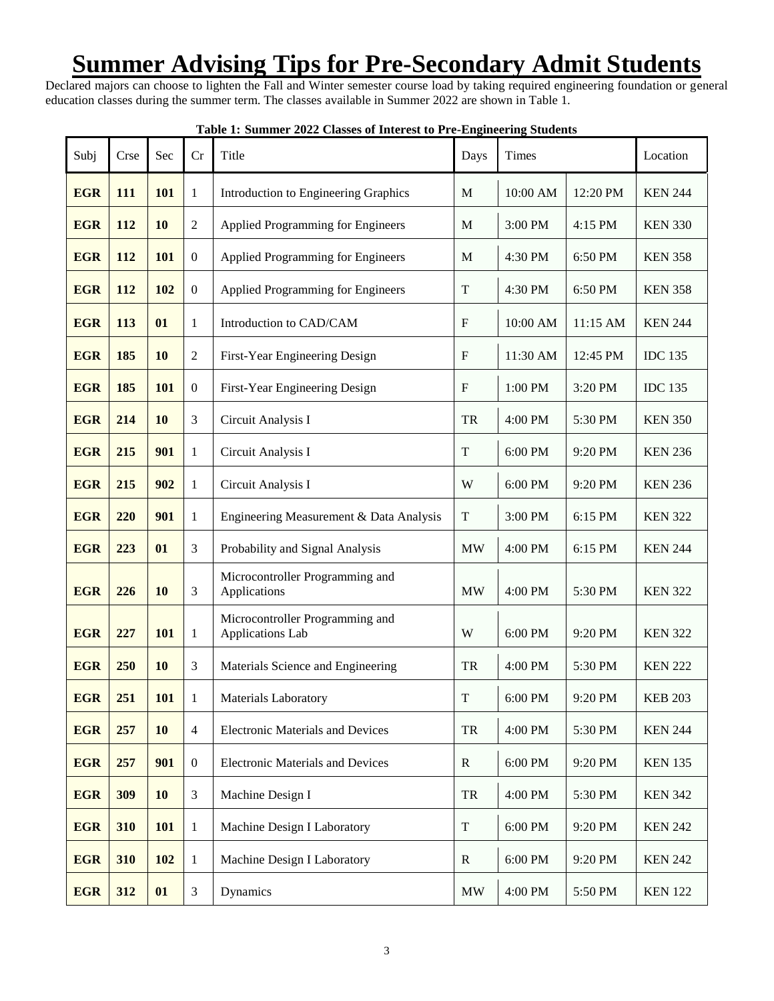## <span id="page-2-0"></span>**Summer Advising Tips for Pre-Secondary Admit Students**

Declared majors can choose to lighten the Fall and Winter semester course load by taking required engineering foundation or general education classes during the summer term. The classes available in Summer 2022 are shown in Table 1.

| Subj       | Crse       | Sec        | Cr               | Title                                                            | Days                      | Times    |                |                |
|------------|------------|------------|------------------|------------------------------------------------------------------|---------------------------|----------|----------------|----------------|
| <b>EGR</b> | 111        | 101        | 1                | Introduction to Engineering Graphics                             | $\mathbf M$               | 10:00 AM | 12:20 PM       | <b>KEN 244</b> |
| <b>EGR</b> | 112        | <b>10</b>  | 2                | Applied Programming for Engineers                                | M                         | 3:00 PM  | 4:15 PM        | <b>KEN 330</b> |
| <b>EGR</b> | <b>112</b> | 101        | $\boldsymbol{0}$ | Applied Programming for Engineers                                | M                         | 4:30 PM  | 6:50 PM        | <b>KEN 358</b> |
| <b>EGR</b> | 112        | 102        | $\boldsymbol{0}$ | Applied Programming for Engineers                                | T                         | 4:30 PM  | 6:50 PM        | <b>KEN 358</b> |
| <b>EGR</b> | 113        | 01         | 1                | Introduction to CAD/CAM                                          | $\boldsymbol{\mathrm{F}}$ | 10:00 AM | 11:15 AM       | <b>KEN 244</b> |
| <b>EGR</b> | 185        | <b>10</b>  | $\overline{2}$   | First-Year Engineering Design                                    | ${\bf F}$                 | 11:30 AM | 12:45 PM       | <b>IDC</b> 135 |
| <b>EGR</b> | 185        | 101        | $\boldsymbol{0}$ | First-Year Engineering Design                                    | $\rm F$                   | 1:00 PM  | 3:20 PM        | <b>IDC</b> 135 |
| <b>EGR</b> | 214        | 10         | 3                | Circuit Analysis I                                               | TR                        | 4:00 PM  | 5:30 PM        | <b>KEN 350</b> |
| <b>EGR</b> | 215        | 901        | 1                | Circuit Analysis I                                               | T                         | 6:00 PM  | 9:20 PM        | <b>KEN 236</b> |
| <b>EGR</b> | 215        | 902        | $\mathbf{1}$     | Circuit Analysis I                                               | W                         | 6:00 PM  | 9:20 PM        | <b>KEN 236</b> |
| <b>EGR</b> | 220        | 901        | 1                | Engineering Measurement & Data Analysis                          | $\mathbf T$               | 3:00 PM  | 6:15 PM        | <b>KEN 322</b> |
| <b>EGR</b> | 223        | 01         | 3                | Probability and Signal Analysis                                  | <b>MW</b>                 | 4:00 PM  | 6:15 PM        | <b>KEN 244</b> |
| <b>EGR</b> | 226        | 10         | 3                | Microcontroller Programming and<br>Applications                  | <b>MW</b>                 | 4:00 PM  | 5:30 PM        | <b>KEN 322</b> |
| <b>EGR</b> | 227        | 101        | 1                | Microcontroller Programming and<br>Applications Lab              | W                         | 6:00 PM  | 9:20 PM        | <b>KEN 322</b> |
| <b>EGR</b> | 250        | 10         | 3                | Materials Science and Engineering                                | TR                        | 4:00 PM  | 5:30 PM        | <b>KEN 222</b> |
| <b>EGR</b> | 251        | <b>101</b> | 1                | <b>Materials Laboratory</b>                                      | T                         | 6:00 PM  | 9:20 PM        | <b>KEB 203</b> |
| <b>EGR</b> | 257        | 10         | 4                | <b>Electronic Materials and Devices</b>                          | TR                        | 4:00 PM  | 5:30 PM        | <b>KEN 244</b> |
| <b>EGR</b> | 257        | 901        | $\boldsymbol{0}$ | <b>Electronic Materials and Devices</b>                          | $\mathbf R$               | 6:00 PM  | 9:20 PM        | <b>KEN 135</b> |
| <b>EGR</b> | 309        | 10         | 3                | Machine Design I                                                 | ${\rm TR}$                | 4:00 PM  | 5:30 PM        | <b>KEN 342</b> |
| <b>EGR</b> | 310        | <b>101</b> | 1                | $\mathbf T$<br>Machine Design I Laboratory<br>6:00 PM<br>9:20 PM |                           |          | <b>KEN 242</b> |                |
| <b>EGR</b> | 310        | 102        | $\mathbf{1}$     | Machine Design I Laboratory                                      | ${\bf R}$                 | 6:00 PM  | 9:20 PM        | <b>KEN 242</b> |
| <b>EGR</b> | 312        | 01         | 3                | Dynamics                                                         | MW                        | 4:00 PM  | 5:50 PM        | <b>KEN 122</b> |

**Table 1: Summer 2022 Classes of Interest to Pre-Engineering Students**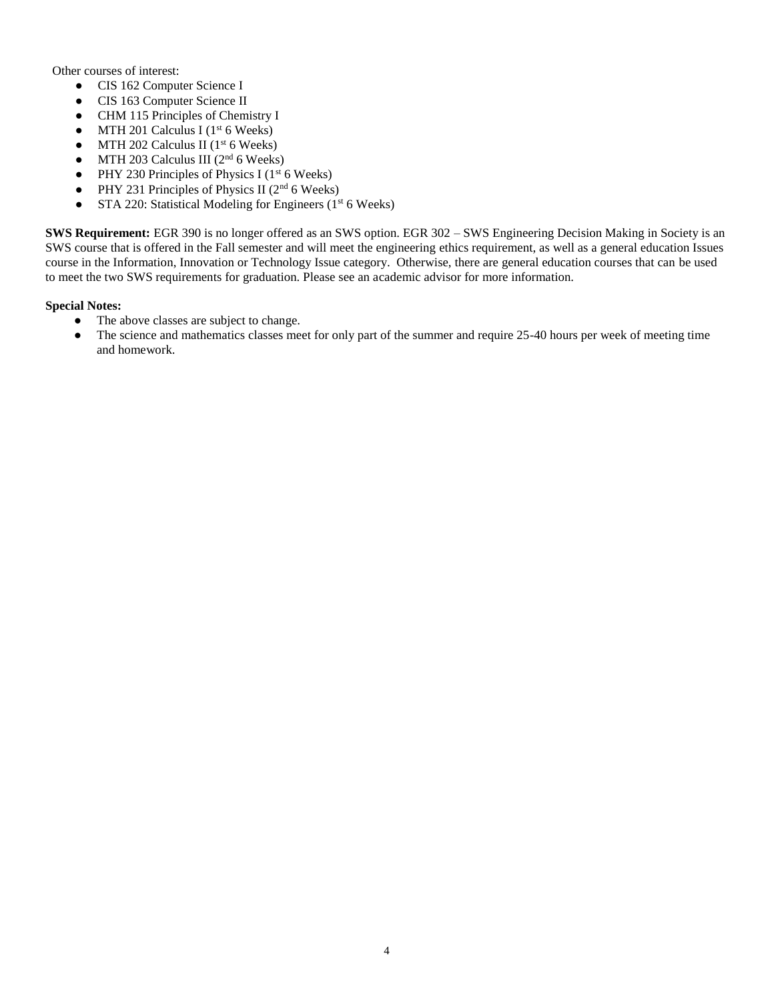Other courses of interest:

- CIS 162 Computer Science I
- CIS 163 Computer Science II
- CHM 115 Principles of Chemistry I
- MTH 201 Calculus I ( $1<sup>st</sup>$  6 Weeks)
- MTH 202 Calculus II ( $1<sup>st</sup>$  6 Weeks)
- MTH 203 Calculus III ( $2<sup>nd</sup>$  6 Weeks)
- PHY 230 Principles of Physics I ( $1<sup>st</sup> 6$  Weeks)
- PHY 231 Principles of Physics II ( $2<sup>nd</sup> 6$  Weeks)
- STA 220: Statistical Modeling for Engineers (1<sup>st</sup> 6 Weeks)

**SWS Requirement:** EGR 390 is no longer offered as an SWS option. EGR 302 – SWS Engineering Decision Making in Society is an SWS course that is offered in the Fall semester and will meet the engineering ethics requirement, as well as a general education Issues course in the Information, Innovation or Technology Issue category. Otherwise, there are general education courses that can be used to meet the two SWS requirements for graduation. Please see an academic advisor for more information.

#### **Special Notes:**

- The above classes are subject to change.<br>• The science and mathematics classes me
- The science and mathematics classes meet for only part of the summer and require 25-40 hours per week of meeting time and homework.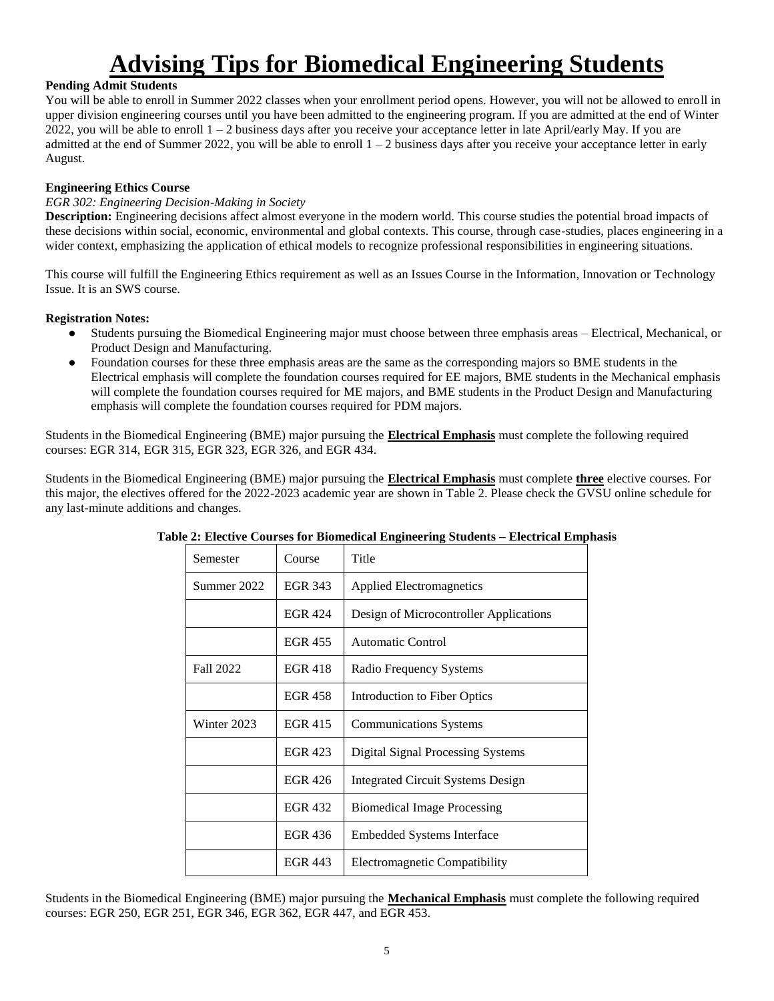# **Advising Tips for Biomedical Engineering Students**

### <span id="page-4-0"></span>**Pending Admit Students**

You will be able to enroll in Summer 2022 classes when your enrollment period opens. However, you will not be allowed to enroll in upper division engineering courses until you have been admitted to the engineering program. If you are admitted at the end of Winter 2022, you will be able to enroll  $1 - 2$  business days after you receive your acceptance letter in late April/early May. If you are admitted at the end of Summer 2022, you will be able to enroll  $1 - 2$  business days after you receive your acceptance letter in early August.

### **Engineering Ethics Course**

#### *EGR 302: Engineering Decision-Making in Society*

**Description:** Engineering decisions affect almost everyone in the modern world. This course studies the potential broad impacts of these decisions within social, economic, environmental and global contexts. This course, through case-studies, places engineering in a wider context, emphasizing the application of ethical models to recognize professional responsibilities in engineering situations.

This course will fulfill the Engineering Ethics requirement as well as an Issues Course in the Information, Innovation or Technology Issue. It is an SWS course.

#### **Registration Notes:**

- Students pursuing the Biomedical Engineering major must choose between three emphasis areas Electrical, Mechanical, or Product Design and Manufacturing.
- Foundation courses for these three emphasis areas are the same as the corresponding majors so BME students in the Electrical emphasis will complete the foundation courses required for EE majors, BME students in the Mechanical emphasis will complete the foundation courses required for ME majors, and BME students in the Product Design and Manufacturing emphasis will complete the foundation courses required for PDM majors.

Students in the Biomedical Engineering (BME) major pursuing the **Electrical Emphasis** must complete the following required courses: EGR 314, EGR 315, EGR 323, EGR 326, and EGR 434.

Students in the Biomedical Engineering (BME) major pursuing the **Electrical Emphasis** must complete **three** elective courses. For this major, the electives offered for the 2022-2023 academic year are shown in Table 2. Please check the GVSU online schedule for any last-minute additions and changes.

| Semester    | Course         | Title                                    |
|-------------|----------------|------------------------------------------|
| Summer 2022 | <b>EGR 343</b> | <b>Applied Electromagnetics</b>          |
|             | <b>EGR 424</b> | Design of Microcontroller Applications   |
|             | <b>EGR 455</b> | Automatic Control                        |
| Fall 2022   | <b>EGR 418</b> | Radio Frequency Systems                  |
|             | <b>EGR 458</b> | Introduction to Fiber Optics             |
| Winter 2023 | <b>EGR 415</b> | <b>Communications Systems</b>            |
|             | EGR 423        | <b>Digital Signal Processing Systems</b> |
|             | EGR 426        | <b>Integrated Circuit Systems Design</b> |
|             | <b>EGR 432</b> | <b>Biomedical Image Processing</b>       |
|             | EGR 436        | <b>Embedded Systems Interface</b>        |
|             | <b>EGR 443</b> | Electromagnetic Compatibility            |

#### **Table 2: Elective Courses for Biomedical Engineering Students – Electrical Emphasis**

Students in the Biomedical Engineering (BME) major pursuing the **Mechanical Emphasis** must complete the following required courses: EGR 250, EGR 251, EGR 346, EGR 362, EGR 447, and EGR 453.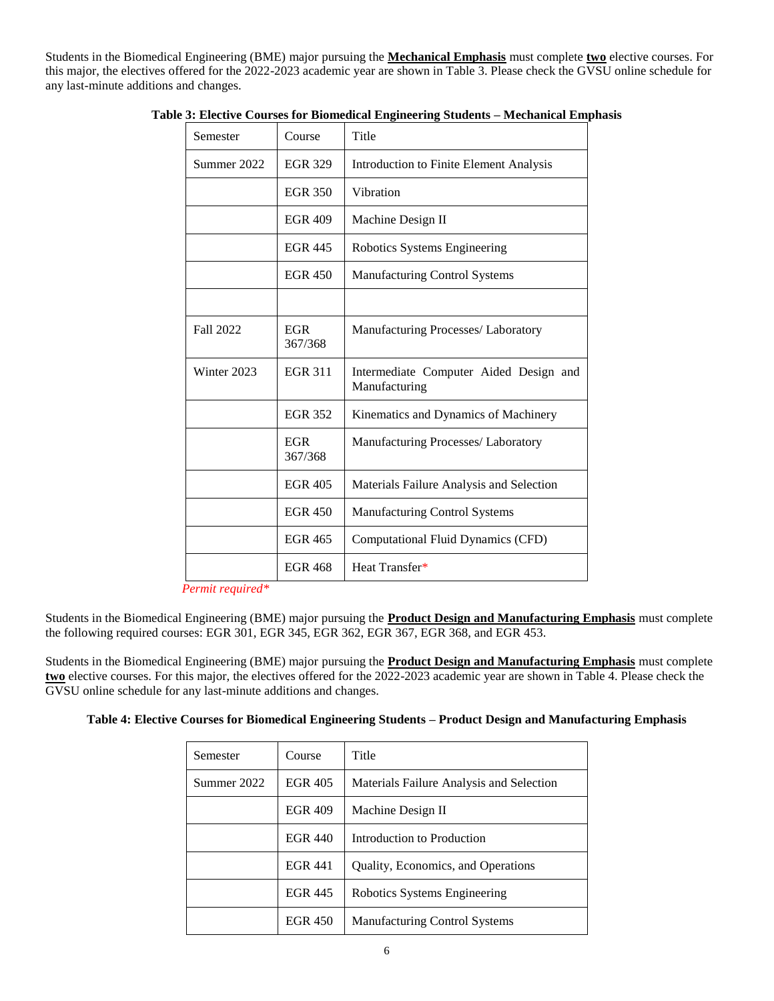Students in the Biomedical Engineering (BME) major pursuing the **Mechanical Emphasis** must complete **two** elective courses. For this major, the electives offered for the 2022-2023 academic year are shown in Table 3. Please check the GVSU online schedule for any last-minute additions and changes.

| Semester    | Course                | Title                                                   |
|-------------|-----------------------|---------------------------------------------------------|
| Summer 2022 | <b>EGR 329</b>        | Introduction to Finite Element Analysis                 |
|             | <b>EGR 350</b>        | Vibration                                               |
|             | <b>EGR 409</b>        | Machine Design II                                       |
|             | <b>EGR 445</b>        | Robotics Systems Engineering                            |
|             | <b>EGR 450</b>        | <b>Manufacturing Control Systems</b>                    |
|             |                       |                                                         |
| Fall 2022   | <b>EGR</b><br>367/368 | Manufacturing Processes/ Laboratory                     |
| Winter 2023 | <b>EGR 311</b>        | Intermediate Computer Aided Design and<br>Manufacturing |
|             | <b>EGR 352</b>        | Kinematics and Dynamics of Machinery                    |
|             | <b>EGR</b><br>367/368 | Manufacturing Processes/ Laboratory                     |
|             | <b>EGR 405</b>        | Materials Failure Analysis and Selection                |
|             | <b>EGR 450</b>        | <b>Manufacturing Control Systems</b>                    |
|             | <b>EGR 465</b>        | Computational Fluid Dynamics (CFD)                      |
|             | <b>EGR 468</b>        | Heat Transfer*                                          |

**Table 3: Elective Courses for Biomedical Engineering Students – Mechanical Emphasis**

*Permit required\**

Students in the Biomedical Engineering (BME) major pursuing the **Product Design and Manufacturing Emphasis** must complete the following required courses: EGR 301, EGR 345, EGR 362, EGR 367, EGR 368, and EGR 453.

Students in the Biomedical Engineering (BME) major pursuing the **Product Design and Manufacturing Emphasis** must complete **two** elective courses. For this major, the electives offered for the 2022-2023 academic year are shown in Table 4. Please check the GVSU online schedule for any last-minute additions and changes.

|  |  | Table 4: Elective Courses for Biomedical Engineering Students – Product Design and Manufacturing Emphasis |  |
|--|--|-----------------------------------------------------------------------------------------------------------|--|
|  |  |                                                                                                           |  |

| Semester    | Course         | Title                                    |
|-------------|----------------|------------------------------------------|
| Summer 2022 | <b>EGR 405</b> | Materials Failure Analysis and Selection |
|             | <b>EGR 409</b> | Machine Design II                        |
|             | <b>EGR 440</b> | Introduction to Production               |
|             | <b>EGR 441</b> | Quality, Economics, and Operations       |
|             | <b>EGR 445</b> | Robotics Systems Engineering             |
|             | EGR 450        | Manufacturing Control Systems            |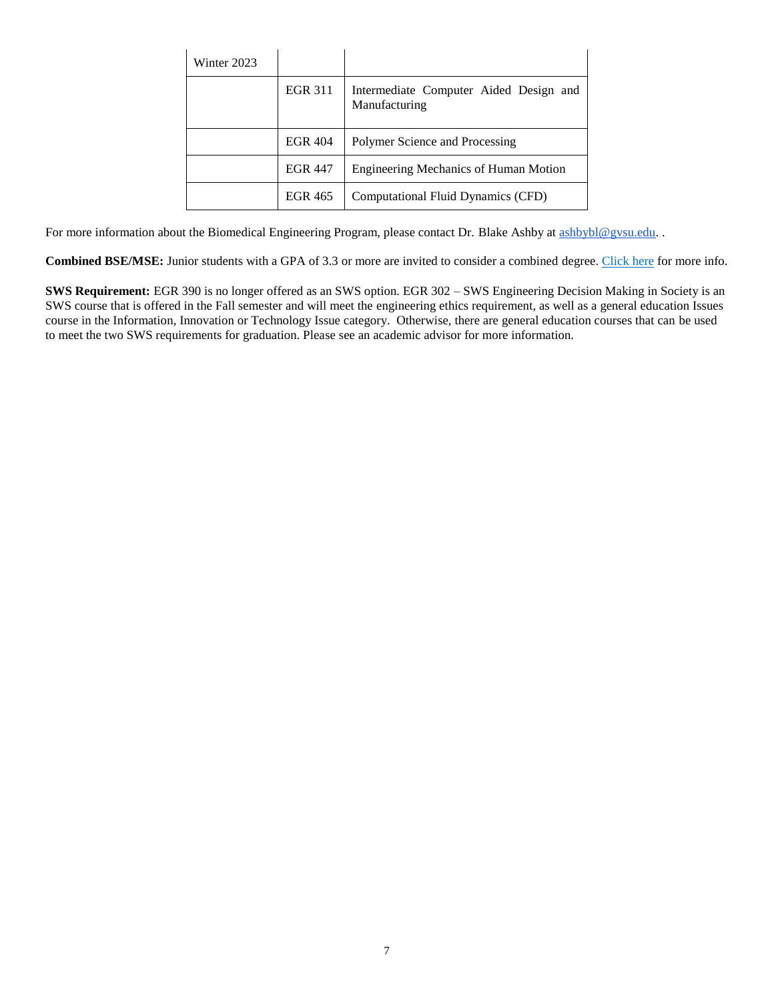| Winter 2023 |                |                                                         |
|-------------|----------------|---------------------------------------------------------|
|             | <b>EGR 311</b> | Intermediate Computer Aided Design and<br>Manufacturing |
|             | <b>EGR 404</b> | Polymer Science and Processing                          |
|             | <b>EGR 447</b> | <b>Engineering Mechanics of Human Motion</b>            |
|             | <b>EGR 465</b> | Computational Fluid Dynamics (CFD)                      |

For more information about the Biomedical Engineering Program, please contact Dr. Blake Ashby at [ashbybl@gvsu.edu.](mailto:ashbybl@gvsu.edu) .

<span id="page-6-0"></span>**Combined BSE/MSE:** Junior students with a GPA of 3.3 or more are invited to consider a combined degree. Click here for more info.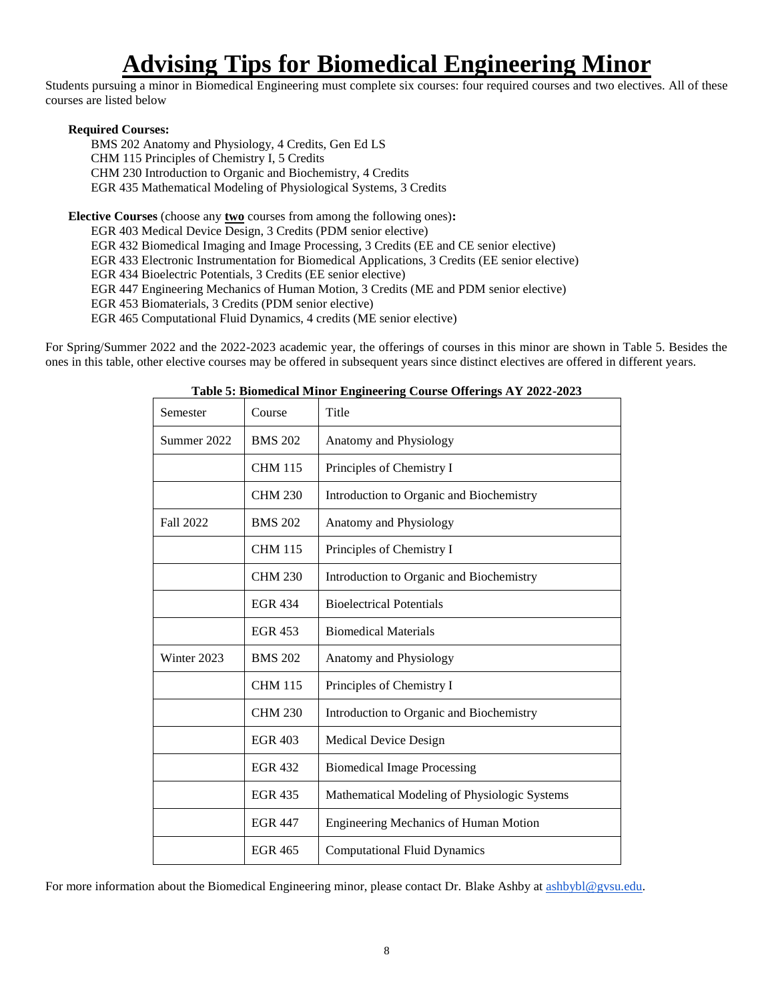## **Advising Tips for Biomedical Engineering Minor**

Students pursuing a minor in Biomedical Engineering must complete six courses: four required courses and two electives. All of these courses are listed below

#### **Required Courses:**

BMS 202 Anatomy and Physiology, 4 Credits, Gen Ed LS CHM 115 Principles of Chemistry I, 5 Credits CHM 230 Introduction to Organic and Biochemistry, 4 Credits EGR 435 Mathematical Modeling of Physiological Systems, 3 Credits

**Elective Courses** (choose any **two** courses from among the following ones)**:**

EGR 403 Medical Device Design, 3 Credits (PDM senior elective)

EGR 432 Biomedical Imaging and Image Processing, 3 Credits (EE and CE senior elective)

EGR 433 Electronic Instrumentation for Biomedical Applications, 3 Credits (EE senior elective)

EGR 434 Bioelectric Potentials, 3 Credits (EE senior elective)

EGR 447 Engineering Mechanics of Human Motion, 3 Credits (ME and PDM senior elective)

EGR 453 Biomaterials, 3 Credits (PDM senior elective)

EGR 465 Computational Fluid Dynamics, 4 credits (ME senior elective)

For Spring/Summer 2022 and the 2022-2023 academic year, the offerings of courses in this minor are shown in Table 5. Besides the ones in this table, other elective courses may be offered in subsequent years since distinct electives are offered in different years.

| Semester         | Course         | Title                                        |
|------------------|----------------|----------------------------------------------|
| Summer 2022      | <b>BMS 202</b> | Anatomy and Physiology                       |
|                  | <b>CHM 115</b> | Principles of Chemistry I                    |
|                  | <b>CHM 230</b> | Introduction to Organic and Biochemistry     |
| <b>Fall 2022</b> | <b>BMS 202</b> | Anatomy and Physiology                       |
|                  | <b>CHM 115</b> | Principles of Chemistry I                    |
|                  | <b>CHM 230</b> | Introduction to Organic and Biochemistry     |
|                  | <b>EGR 434</b> | <b>Bioelectrical Potentials</b>              |
|                  | <b>EGR 453</b> | <b>Biomedical Materials</b>                  |
| Winter 2023      | <b>BMS 202</b> | Anatomy and Physiology                       |
|                  | <b>CHM 115</b> | Principles of Chemistry I                    |
|                  | <b>CHM 230</b> | Introduction to Organic and Biochemistry     |
|                  | <b>EGR 403</b> | <b>Medical Device Design</b>                 |
|                  | <b>EGR 432</b> | <b>Biomedical Image Processing</b>           |
|                  | <b>EGR 435</b> | Mathematical Modeling of Physiologic Systems |
|                  | <b>EGR 447</b> | <b>Engineering Mechanics of Human Motion</b> |
|                  | <b>EGR 465</b> | <b>Computational Fluid Dynamics</b>          |

**Table 5: Biomedical Minor Engineering Course Offerings AY 2022-2023**

For more information about the Biomedical Engineering minor, please contact Dr. Blake Ashby at [ashbybl@gvsu.edu.](mailto:ashbybl@gvsu.edu)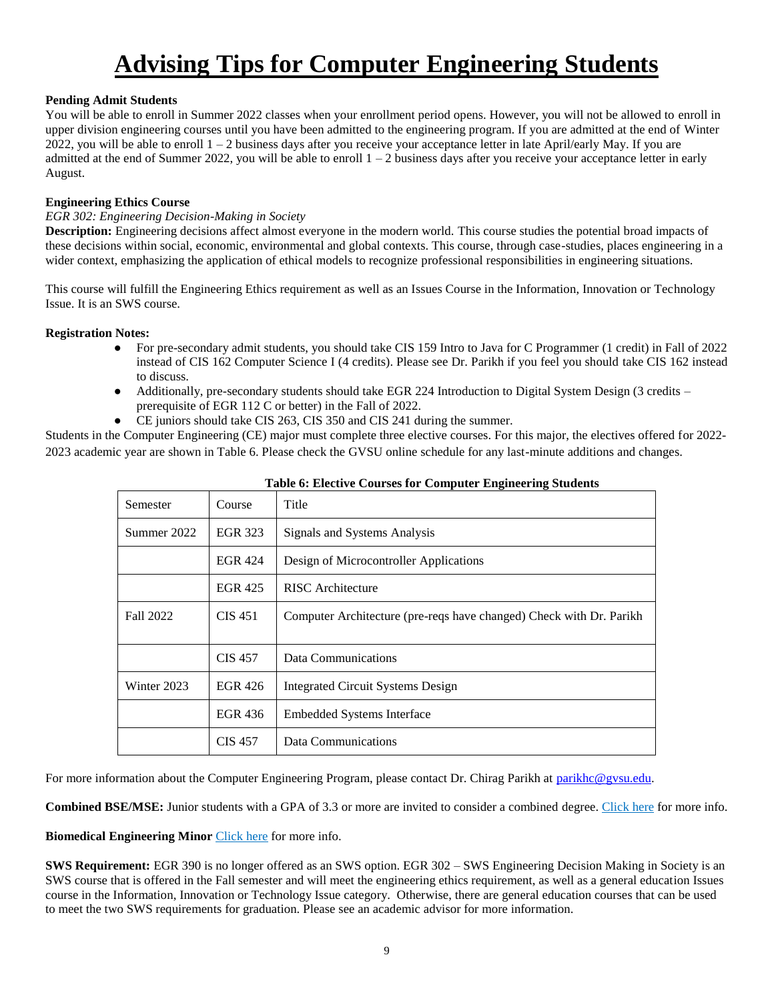# **Advising Tips for Computer Engineering Students**

### <span id="page-8-0"></span>**Pending Admit Students**

You will be able to enroll in Summer 2022 classes when your enrollment period opens. However, you will not be allowed to enroll in upper division engineering courses until you have been admitted to the engineering program. If you are admitted at the end of Winter 2022, you will be able to enroll  $1 - 2$  business days after you receive your acceptance letter in late April/early May. If you are admitted at the end of Summer 2022, you will be able to enroll  $1 - 2$  business days after you receive your acceptance letter in early August.

#### **Engineering Ethics Course**

#### *EGR 302: Engineering Decision-Making in Society*

**Description:** Engineering decisions affect almost everyone in the modern world. This course studies the potential broad impacts of these decisions within social, economic, environmental and global contexts. This course, through case-studies, places engineering in a wider context, emphasizing the application of ethical models to recognize professional responsibilities in engineering situations.

This course will fulfill the Engineering Ethics requirement as well as an Issues Course in the Information, Innovation or Technology Issue. It is an SWS course.

#### **Registration Notes:**

- For pre-secondary admit students, you should take CIS 159 Intro to Java for C Programmer (1 credit) in Fall of 2022 instead of CIS 162 Computer Science I (4 credits). Please see Dr. Parikh if you feel you should take CIS 162 instead to discuss.
- Additionally, pre-secondary students should take EGR 224 Introduction to Digital System Design (3 credits prerequisite of EGR 112 C or better) in the Fall of 2022.
- CE juniors should take CIS 263, CIS 350 and CIS 241 during the summer.

Students in the Computer Engineering (CE) major must complete three elective courses. For this major, the electives offered for 2022- 2023 academic year are shown in Table 6. Please check the GVSU online schedule for any last-minute additions and changes.

| Semester    | Course         | Title                                                               |
|-------------|----------------|---------------------------------------------------------------------|
| Summer 2022 | <b>EGR 323</b> | Signals and Systems Analysis                                        |
|             | <b>EGR 424</b> | Design of Microcontroller Applications                              |
|             | <b>EGR 425</b> | RISC Architecture                                                   |
| Fall 2022   | CIS 451        | Computer Architecture (pre-reqs have changed) Check with Dr. Parikh |
|             | <b>CIS</b> 457 | Data Communications                                                 |
| Winter 2023 | EGR 426        | Integrated Circuit Systems Design                                   |
|             | EGR 436        | <b>Embedded Systems Interface</b>                                   |
|             | <b>CIS 457</b> | Data Communications                                                 |

**Table 6: Elective Courses for Computer Engineering Students**

For more information about the Computer Engineering Program, please contact Dr. Chirag Parikh at [parikhc@gvsu.edu.](mailto:parikhc@gvsu.edu)

**Combined BSE/MSE:** Junior students with a GPA of 3.3 or more are invited to consider a combined degree. Click here for more info.

**Biomedical Engineering Minor** Click here for more info.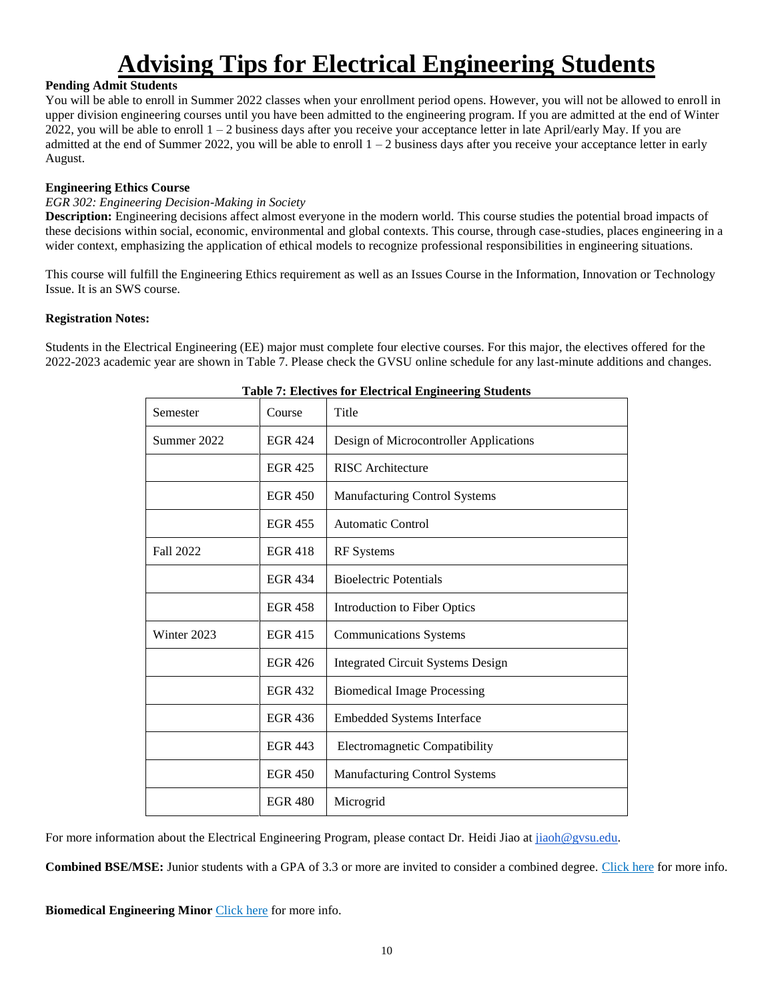## **Advising Tips for Electrical Engineering Students**

### <span id="page-9-0"></span>**Pending Admit Students**

You will be able to enroll in Summer 2022 classes when your enrollment period opens. However, you will not be allowed to enroll in upper division engineering courses until you have been admitted to the engineering program. If you are admitted at the end of Winter 2022, you will be able to enroll  $1 - 2$  business days after you receive your acceptance letter in late April/early May. If you are admitted at the end of Summer 2022, you will be able to enroll  $1 - 2$  business days after you receive your acceptance letter in early August.

### **Engineering Ethics Course**

#### *EGR 302: Engineering Decision-Making in Society*

**Description:** Engineering decisions affect almost everyone in the modern world. This course studies the potential broad impacts of these decisions within social, economic, environmental and global contexts. This course, through case-studies, places engineering in a wider context, emphasizing the application of ethical models to recognize professional responsibilities in engineering situations.

This course will fulfill the Engineering Ethics requirement as well as an Issues Course in the Information, Innovation or Technology Issue. It is an SWS course.

#### **Registration Notes:**

Students in the Electrical Engineering (EE) major must complete four elective courses. For this major, the electives offered for the 2022-2023 academic year are shown in Table 7. Please check the GVSU online schedule for any last-minute additions and changes.

| Semester         | Course         | Title                                    |
|------------------|----------------|------------------------------------------|
| Summer 2022      | <b>EGR 424</b> | Design of Microcontroller Applications   |
|                  | <b>EGR 425</b> | <b>RISC</b> Architecture                 |
|                  | <b>EGR 450</b> | <b>Manufacturing Control Systems</b>     |
|                  | <b>EGR 455</b> | Automatic Control                        |
| <b>Fall 2022</b> | <b>EGR 418</b> | <b>RF</b> Systems                        |
|                  | <b>EGR 434</b> | <b>Bioelectric Potentials</b>            |
|                  | <b>EGR 458</b> | Introduction to Fiber Optics             |
| Winter 2023      | <b>EGR 415</b> | <b>Communications Systems</b>            |
|                  | <b>EGR 426</b> | <b>Integrated Circuit Systems Design</b> |
|                  | <b>EGR 432</b> | <b>Biomedical Image Processing</b>       |
|                  | EGR 436        | <b>Embedded Systems Interface</b>        |
|                  | <b>EGR 443</b> | Electromagnetic Compatibility            |
|                  | <b>EGR 450</b> | <b>Manufacturing Control Systems</b>     |
|                  | <b>EGR 480</b> | Microgrid                                |

#### **Table 7: Electives for Electrical Engineering Students**

For more information about the Electrical Engineering Program, please contact Dr. Heidi Jiao a[t jiaoh@gvsu.edu.](mailto:jiaoh@gvsu.edu)

**Combined BSE/MSE:** Junior students with a GPA of 3.3 or more are invited to consider a combined degree. Click here for more info.

**Biomedical Engineering Minor** *Click here* for more info.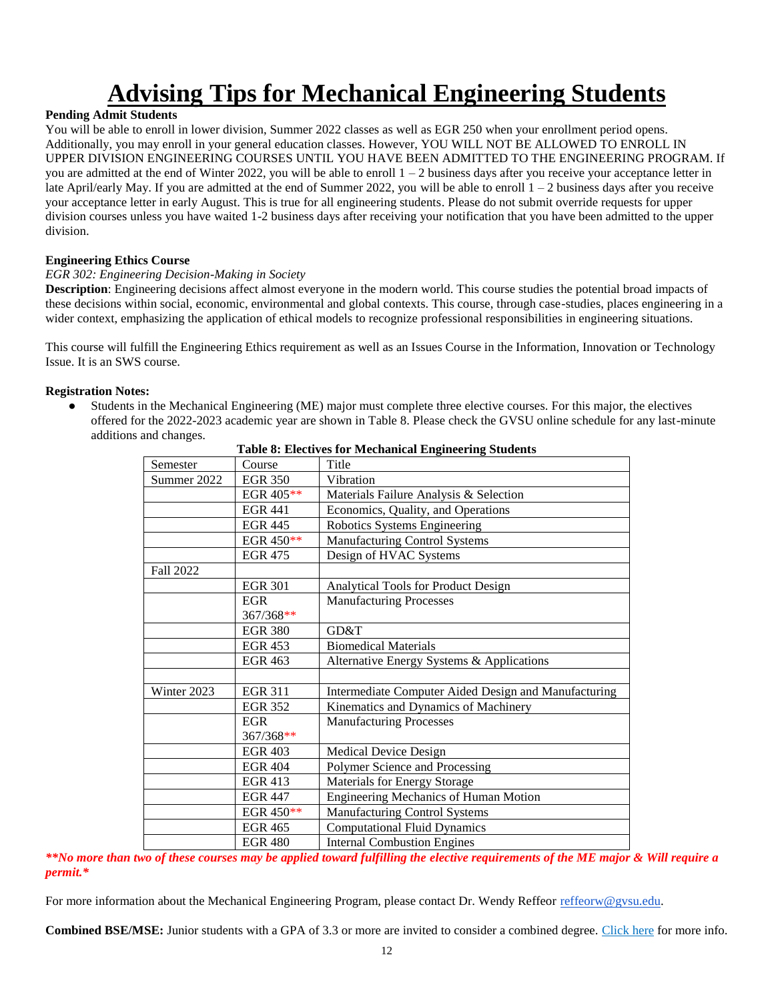# **Advising Tips for Mechanical Engineering Students**

## <span id="page-11-0"></span>**Pending Admit Students**

You will be able to enroll in lower division, Summer 2022 classes as well as EGR 250 when your enrollment period opens. Additionally, you may enroll in your general education classes. However, YOU WILL NOT BE ALLOWED TO ENROLL IN UPPER DIVISION ENGINEERING COURSES UNTIL YOU HAVE BEEN ADMITTED TO THE ENGINEERING PROGRAM. If you are admitted at the end of Winter 2022, you will be able to enroll  $1 - 2$  business days after you receive your acceptance letter in late April/early May. If you are admitted at the end of Summer 2022, you will be able to enroll 1 – 2 business days after you receive your acceptance letter in early August. This is true for all engineering students. Please do not submit override requests for upper division courses unless you have waited 1-2 business days after receiving your notification that you have been admitted to the upper division.

#### **Engineering Ethics Course**

### *EGR 302: Engineering Decision-Making in Society*

**Description**: Engineering decisions affect almost everyone in the modern world. This course studies the potential broad impacts of these decisions within social, economic, environmental and global contexts. This course, through case-studies, places engineering in a wider context, emphasizing the application of ethical models to recognize professional responsibilities in engineering situations.

This course will fulfill the Engineering Ethics requirement as well as an Issues Course in the Information, Innovation or Technology Issue. It is an SWS course.

#### **Registration Notes:**

Students in the Mechanical Engineering (ME) major must complete three elective courses. For this major, the electives offered for the 2022-2023 academic year are shown in Table 8. Please check the GVSU online schedule for any last-minute additions and changes.

| Semester    | Course         | Title                                                |
|-------------|----------------|------------------------------------------------------|
| Summer 2022 | <b>EGR 350</b> | Vibration                                            |
|             | EGR 405**      | Materials Failure Analysis & Selection               |
|             | <b>EGR 441</b> | Economics, Quality, and Operations                   |
|             | <b>EGR 445</b> | Robotics Systems Engineering                         |
|             | EGR 450**      | Manufacturing Control Systems                        |
|             | <b>EGR 475</b> | Design of HVAC Systems                               |
| Fall 2022   |                |                                                      |
|             | <b>EGR 301</b> | Analytical Tools for Product Design                  |
|             | <b>EGR</b>     | <b>Manufacturing Processes</b>                       |
|             | 367/368**      |                                                      |
|             | <b>EGR 380</b> | GD&T                                                 |
|             | <b>EGR 453</b> | <b>Biomedical Materials</b>                          |
|             | <b>EGR 463</b> | Alternative Energy Systems & Applications            |
|             |                |                                                      |
| Winter 2023 | <b>EGR 311</b> | Intermediate Computer Aided Design and Manufacturing |
|             | <b>EGR 352</b> | Kinematics and Dynamics of Machinery                 |
|             | <b>EGR</b>     | <b>Manufacturing Processes</b>                       |
|             | 367/368**      |                                                      |
|             | <b>EGR 403</b> | <b>Medical Device Design</b>                         |
|             | <b>EGR 404</b> | Polymer Science and Processing                       |
|             | <b>EGR 413</b> | <b>Materials for Energy Storage</b>                  |
|             | <b>EGR 447</b> | <b>Engineering Mechanics of Human Motion</b>         |
|             | EGR 450**      | Manufacturing Control Systems                        |
|             | <b>EGR 465</b> | <b>Computational Fluid Dynamics</b>                  |
|             | <b>EGR 480</b> | <b>Internal Combustion Engines</b>                   |

**Table 8: Electives for Mechanical Engineering Students**

*\*\*No more than two of these courses may be applied toward fulfilling the elective requirements of the ME major & Will require a permit.\**

For more information about the Mechanical Engineering Program, please contact Dr. Wendy Reffeor [reffeorw@gvsu.edu.](mailto:reffeorw@gvsu.edu)

**Combined BSE/MSE:** Junior students with a GPA of 3.3 or more are invited to consider a combined degree. Click here for more info.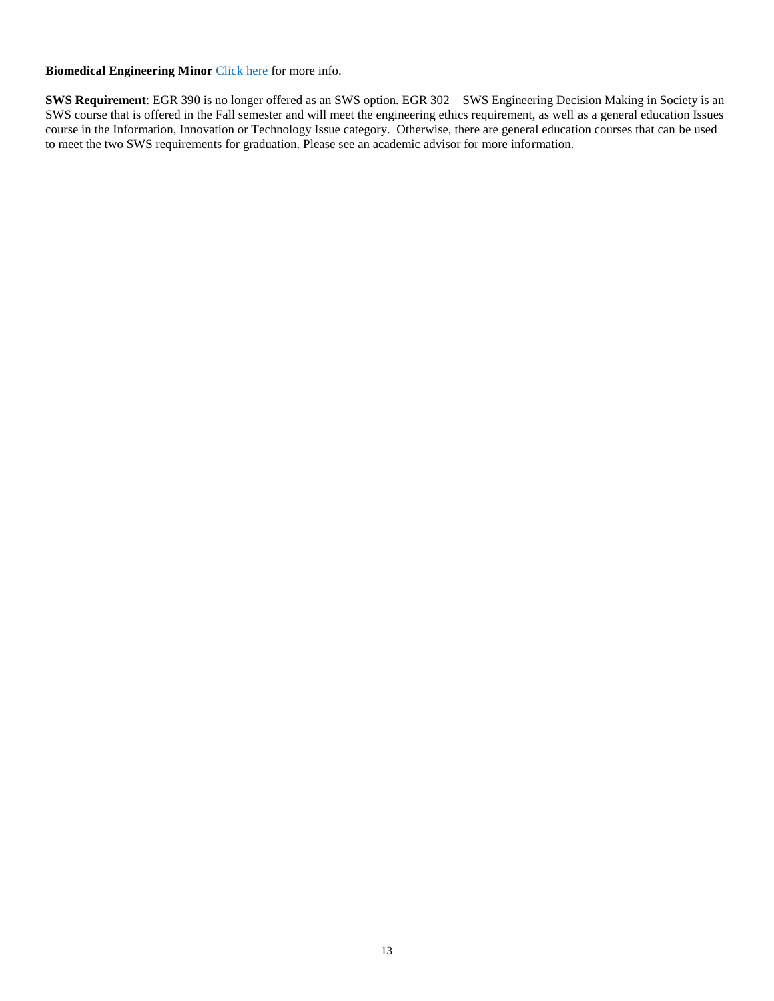**Biomedical Engineering Minor** Click here for more info.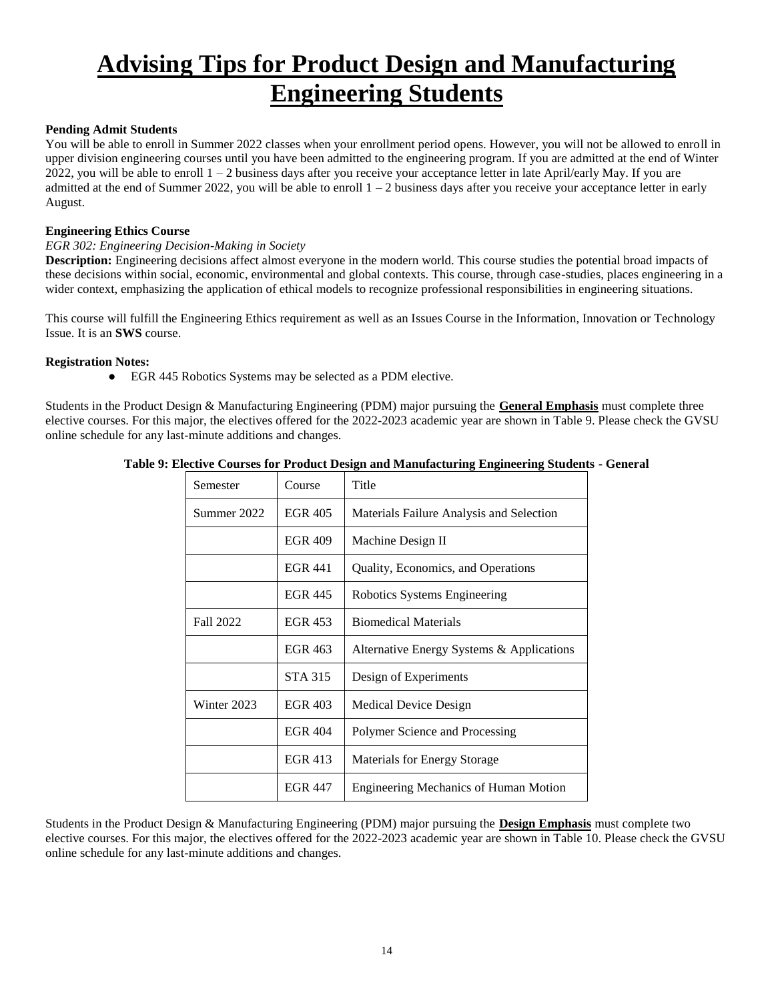## <span id="page-13-0"></span>**Advising Tips for Product Design and Manufacturing Engineering Students**

#### **Pending Admit Students**

You will be able to enroll in Summer 2022 classes when your enrollment period opens. However, you will not be allowed to enroll in upper division engineering courses until you have been admitted to the engineering program. If you are admitted at the end of Winter 2022, you will be able to enroll  $1 - 2$  business days after you receive your acceptance letter in late April/early May. If you are admitted at the end of Summer 2022, you will be able to enroll  $1 - 2$  business days after you receive your acceptance letter in early August.

#### **Engineering Ethics Course**

#### *EGR 302: Engineering Decision-Making in Society*

**Description:** Engineering decisions affect almost everyone in the modern world. This course studies the potential broad impacts of these decisions within social, economic, environmental and global contexts. This course, through case-studies, places engineering in a wider context, emphasizing the application of ethical models to recognize professional responsibilities in engineering situations.

This course will fulfill the Engineering Ethics requirement as well as an Issues Course in the Information, Innovation or Technology Issue. It is an **SWS** course.

#### **Registration Notes:**

● EGR 445 Robotics Systems may be selected as a PDM elective.

Students in the Product Design & Manufacturing Engineering (PDM) major pursuing the **General Emphasis** must complete three elective courses. For this major, the electives offered for the 2022-2023 academic year are shown in Table 9. Please check the GVSU online schedule for any last-minute additions and changes.

|  |  | Table 9: Elective Courses for Product Design and Manufacturing Engineering Students - General |  |  |
|--|--|-----------------------------------------------------------------------------------------------|--|--|
|  |  |                                                                                               |  |  |
|  |  |                                                                                               |  |  |
|  |  |                                                                                               |  |  |

| Semester    | Course         | Title                                        |
|-------------|----------------|----------------------------------------------|
| Summer 2022 | <b>EGR 405</b> | Materials Failure Analysis and Selection     |
|             | <b>EGR 409</b> | Machine Design II                            |
|             | <b>EGR 441</b> | Quality, Economics, and Operations           |
|             | <b>EGR 445</b> | Robotics Systems Engineering                 |
| Fall 2022   | <b>EGR 453</b> | <b>Biomedical Materials</b>                  |
|             | EGR 463        | Alternative Energy Systems & Applications    |
|             | <b>STA 315</b> | Design of Experiments                        |
| Winter 2023 | <b>EGR 403</b> | Medical Device Design                        |
|             | <b>EGR 404</b> | Polymer Science and Processing               |
|             | <b>EGR 413</b> | <b>Materials for Energy Storage</b>          |
|             | <b>EGR 447</b> | <b>Engineering Mechanics of Human Motion</b> |

Students in the Product Design & Manufacturing Engineering (PDM) major pursuing the **Design Emphasis** must complete two elective courses. For this major, the electives offered for the 2022-2023 academic year are shown in Table 10. Please check the GVSU online schedule for any last-minute additions and changes.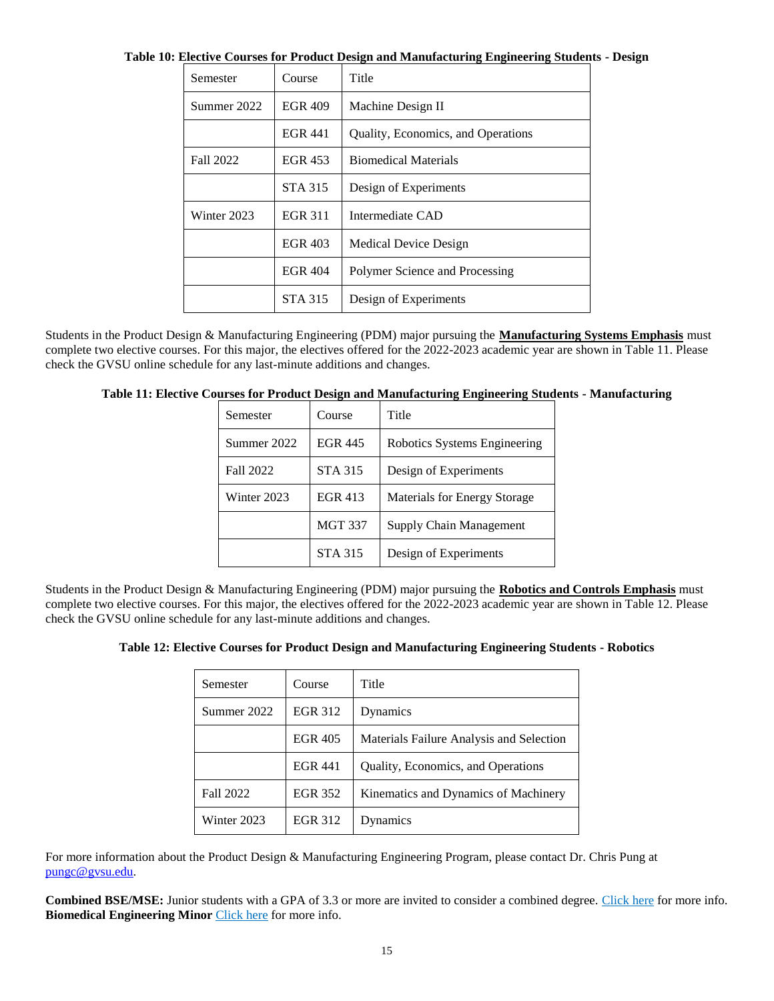| Semester    | Course         | Title                              |
|-------------|----------------|------------------------------------|
| Summer 2022 | <b>EGR 409</b> | Machine Design II                  |
|             | <b>EGR 441</b> | Quality, Economics, and Operations |
| Fall 2022   | EGR 453        | <b>Biomedical Materials</b>        |
|             | <b>STA 315</b> | Design of Experiments              |
| Winter 2023 | <b>EGR 311</b> | Intermediate CAD                   |
|             | <b>EGR 403</b> | <b>Medical Device Design</b>       |
|             | <b>EGR 404</b> | Polymer Science and Processing     |
|             | <b>STA 315</b> | Design of Experiments              |

**Table 10: Elective Courses for Product Design and Manufacturing Engineering Students - Design**

Students in the Product Design & Manufacturing Engineering (PDM) major pursuing the **Manufacturing Systems Emphasis** must complete two elective courses. For this major, the electives offered for the 2022-2023 academic year are shown in Table 11. Please check the GVSU online schedule for any last-minute additions and changes.

| Table 11: Elective Courses for Product Design and Manufacturing Engineering Students - Manufacturing |
|------------------------------------------------------------------------------------------------------|
|------------------------------------------------------------------------------------------------------|

| Semester    | Course         | Title                        |
|-------------|----------------|------------------------------|
| Summer 2022 | <b>EGR 445</b> | Robotics Systems Engineering |
| Fall 2022   | <b>STA 315</b> | Design of Experiments        |
| Winter 2023 | <b>EGR 413</b> | Materials for Energy Storage |
|             | <b>MGT 337</b> | Supply Chain Management      |
|             | <b>STA 315</b> | Design of Experiments        |

Students in the Product Design & Manufacturing Engineering (PDM) major pursuing the **Robotics and Controls Emphasis** must complete two elective courses. For this major, the electives offered for the 2022-2023 academic year are shown in Table 12. Please check the GVSU online schedule for any last-minute additions and changes.

| Table 12: Elective Courses for Product Design and Manufacturing Engineering Students - Robotics |
|-------------------------------------------------------------------------------------------------|
|-------------------------------------------------------------------------------------------------|

| Semester    | Course         | Title                                    |
|-------------|----------------|------------------------------------------|
| Summer 2022 | <b>EGR 312</b> | Dynamics                                 |
|             | EGR 405        | Materials Failure Analysis and Selection |
|             | <b>EGR 441</b> | Quality, Economics, and Operations       |
| Fall 2022   | <b>EGR 352</b> | Kinematics and Dynamics of Machinery     |
| Winter 2023 | <b>EGR 312</b> | Dynamics                                 |

For more information about the Product Design & Manufacturing Engineering Program, please contact Dr. Chris Pung at [pungc@gvsu.edu.](mailto:pungc@gvsu.edu) 

**Combined BSE/MSE:** Junior students with a GPA of 3.3 or more are invited to consider a combined degree. Click here for more info. **Biomedical Engineering Minor** Click here for more info.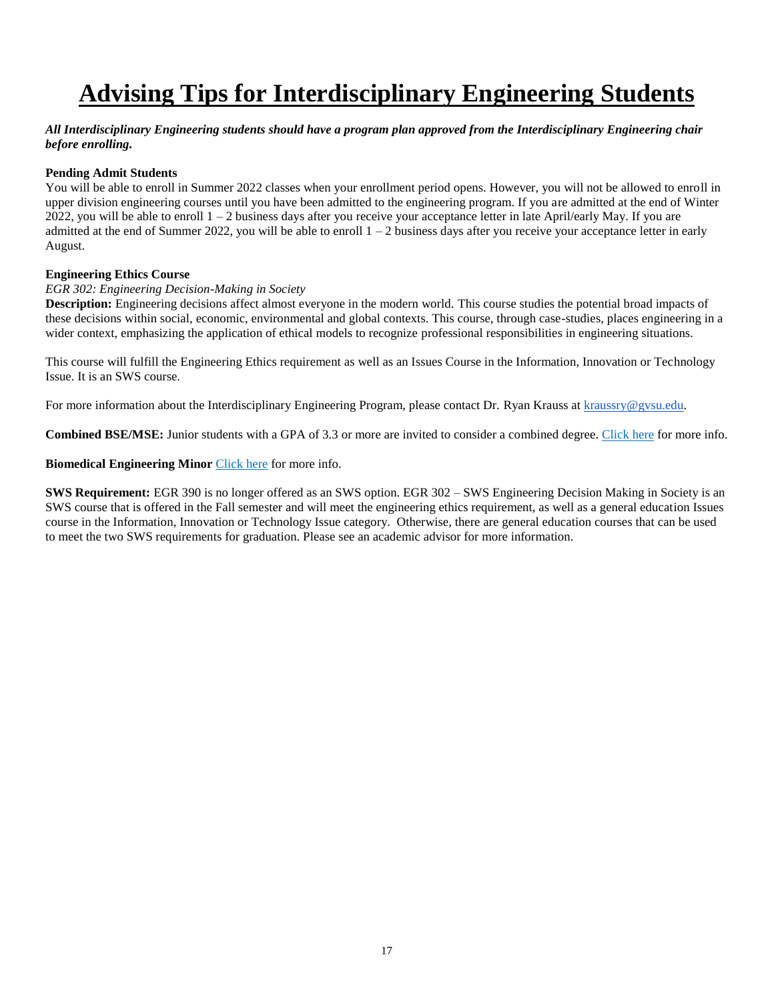# <span id="page-16-0"></span>**Advising Tips for Interdisciplinary Engineering Students**

#### *All Interdisciplinary Engineering students should have a program plan approved from the Interdisciplinary Engineering chair before enrolling.*

### **Pending Admit Students**

You will be able to enroll in Summer 2022 classes when your enrollment period opens. However, you will not be allowed to enroll in upper division engineering courses until you have been admitted to the engineering program. If you are admitted at the end of Winter 2022, you will be able to enroll  $1 - 2$  business days after you receive your acceptance letter in late April/early May. If you are admitted at the end of Summer 2022, you will be able to enroll  $1 - 2$  business days after you receive your acceptance letter in early August.

#### **Engineering Ethics Course**

#### *EGR 302: Engineering Decision-Making in Society*

**Description:** Engineering decisions affect almost everyone in the modern world. This course studies the potential broad impacts of these decisions within social, economic, environmental and global contexts. This course, through case-studies, places engineering in a wider context, emphasizing the application of ethical models to recognize professional responsibilities in engineering situations.

This course will fulfill the Engineering Ethics requirement as well as an Issues Course in the Information, Innovation or Technology Issue. It is an SWS course.

For more information about the Interdisciplinary Engineering Program, please contact Dr. Ryan Krauss at [kraussry@gvsu.edu.](mailto:kraussry@gvsu.edu)

**Combined BSE/MSE:** Junior students with a GPA of 3.3 or more are invited to consider a combined degree. Click here for more info.

**Biomedical Engineering Minor** Click here for more info.